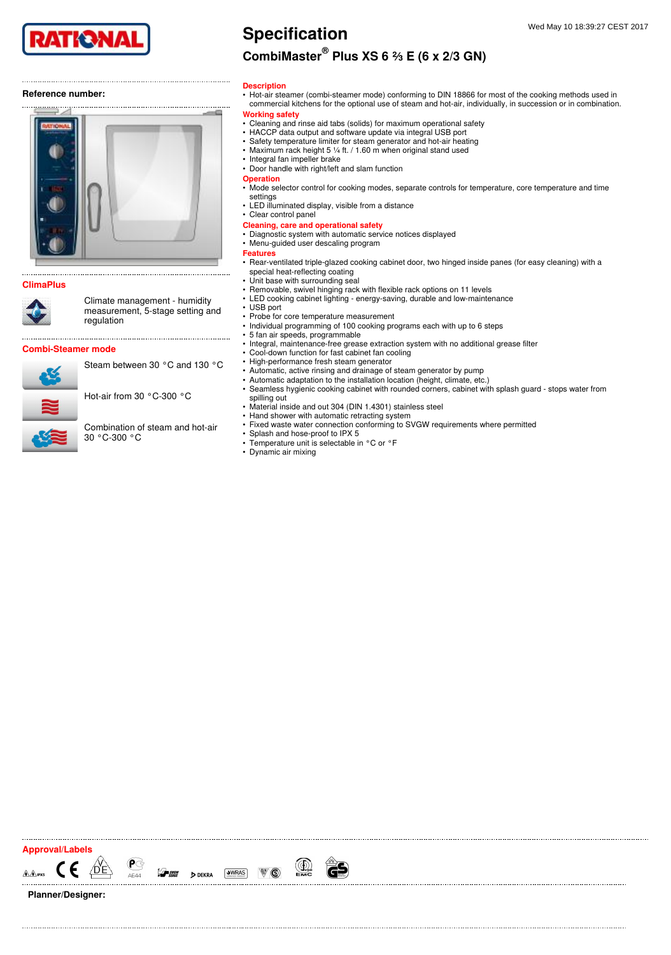

### Reference number:



### ClimaPlus



Climate management - humidity measurement, 5-stage setting and regulation

Combi-Steamer mode

Planner/Designer:

Steam between 30 °C and 130 °C

Hot-air from 30 °C-300 °C

Combination of steam and hot-air 30 °C-300 °C

## CombiMaster $^{\circledR}$  Plus XS 6 % E (6 x 2/3 GN)

### **Description**

• Hot-air steamer (combi-steamer mode) conforming to DIN 18866 for most of the cooking methods used in commercial kitchens for the optional use of steam and hot-air, individually, in succession or in combination.

### Working safety

- Cleaning and rinse aid tabs (solids) for maximum operational safety
- HACCP data output and software update via integral USB port
- Safety temperature limiter for steam generator and hot-air heating
- Maximum rack height 5 ¼ ft. / 1.60 m when original stand used
- Integral fan impeller brake • Door handle with right/left and slam function
- **Operation**
- Mode selector control for cooking modes, separate controls for temperature, core temperature and time settings
- LED illuminated display, visible from a distance
- Clear control panel
- Cleaning, care and operational safety
- Diagnostic system with automatic service notices displayed<br>• Menu-quided user descaling program
- Menu-quided user descaling program
- Features
- Rear-ventilated triple-glazed cooking cabinet door, two hinged inside panes (for easy cleaning) with a special heat-reflecting coating
- Unit base with surrounding seal
- Removable, swivel hinging rack with flexible rack options on 11 levels<br>• LED cooking cabinet lighting energy-saving, durable and low-mainte
- LED cooking cabinet lighting energy-saving, durable and low-maintenance
- USB port
- Probe for core temperature measurement
- Individual programming of 100 cooking programs each with up to 6 steps
- 5 fan air speeds, programmable • Integral, maintenance-free grease extraction system with no additional grease filter
- Cool-down function for fast cabinet fan cooling
- High-performance fresh steam generator
- Automatic, active rinsing and drainage of steam generator by pump
- Automatic adaptation to the installation location (height, climate, etc.)
- Seamless hygienic cooking cabinet with rounded corners, cabinet with splash guard stops water from spilling out
- Material inside and out 304 (DIN 1.4301) stainless steel
- Hand shower with automatic retracting system
- Fixed waste water connection conforming to SVGW requirements where permitted
- Splash and hose-proof to IPX 5
- Temperature unit is selectable in °C or °F
- Dynamic air mixing

Wed May 10 18:39:27 CEST 2017

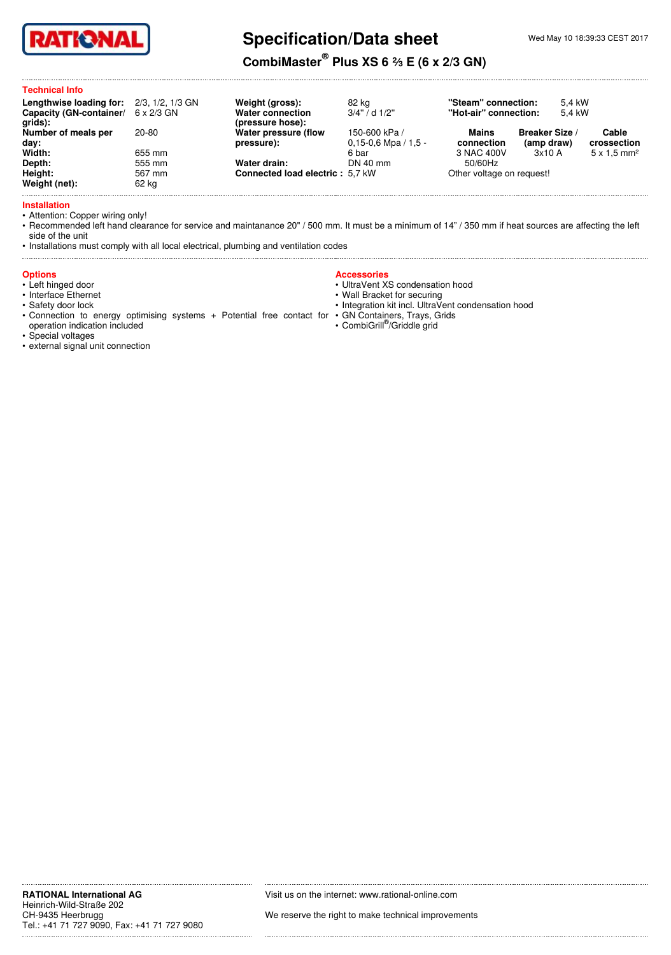

# Specification/Data sheet

## CombiMaster $^{\circledR}$  Plus XS 6 ⅔ E (6 x 2/3 GN)

#### Technical Info

| Lengthwise loading for:<br>Capacity (GN-container/ 6 x 2/3 GN<br>qrids): | 2/3, 1/2, 1/3 GN |
|--------------------------------------------------------------------------|------------------|
| Number of meals per<br>day:                                              | $20 - 80$        |
| Width:                                                                   | 655 mm           |
| Depth:<br>Height:                                                        | 555 mm<br>567 mm |
| Weight (net):                                                            | 62 kg            |

### Weight (gross): Water connection (pressure hose): Water pressure (flow pressure): Water drain: DN 40 mm

3/4'' / d 1/2''

0,15-0,6 Mpa / 1,5 - 6 bar<br>DN 40 mm

"Steam" connection: 5,4 kW<br>"Hot-air" connection: 5,4 kW "Hot-air" connection:

Mains connection 3 NAC 400V 50/60Hz

Cable

Other voltage on request!

Installation

• Attention: Copper wiring only! • Recommended left hand clearance for service and maintanance 20" / 500 mm. It must be a minimum of 14" / 350 mm if heat sources are affecting the left side of the unit

• Installations must comply with all local electrical, plumbing and ventilation codes

#### **Options**

- Left hinged door
- Interface Ethernet
- Safety door lock
- Connection to energy optimising systems + Potential tree contact tor GN Containers, Trays, Grids operation indication included
- Special voltages
- external signal unit connection

### **Accessories**

- UltraVent XS condensation hood • Wall Bracket for securing
- Integration kit incl. UltraVent condensation hood
- 
- CombiGrill<sup>®</sup>/Griddle grid

RATIONAL International AG Heinrich-Wild-Straße 202 CH-9435 Heerbrugg Tel.: +41 71 727 9090, Fax: +41 71 727 9080 Visit us on the internet: www.rational-online.com

We reserve the right to make technical improvements

Connected load electric : 5,7 kW

150-600 kPa /

Breaker Size / (amp draw)<br> $3x10 \text{ A}$ 

crossection  $5 \times 1,5 \text{ mm}^2$